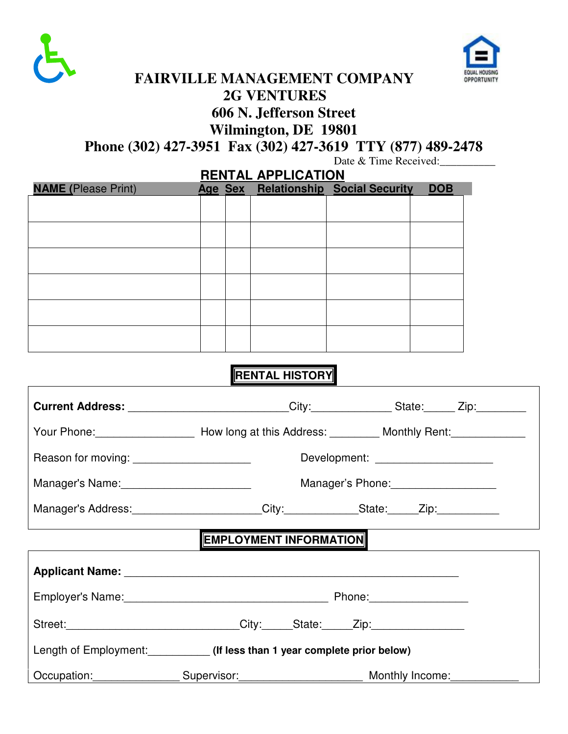



## **FAIRVILLE MANAGEMENT COMPANY 2G VENTURES 606 N. Jefferson Street Wilmington, DE 19801**

**Phone (302) 427-3951 Fax (302) 427-3619 TTY (877) 489-2478** 

Date & Time Received:

|                            | <b>RENTAL APPLICATION</b> |  |  |                                      |            |  |  |
|----------------------------|---------------------------|--|--|--------------------------------------|------------|--|--|
| <b>NAME</b> (Please Print) |                           |  |  | Age Sex Relationship Social Security | <b>DOB</b> |  |  |
|                            |                           |  |  |                                      |            |  |  |
|                            |                           |  |  |                                      |            |  |  |
|                            |                           |  |  |                                      |            |  |  |
|                            |                           |  |  |                                      |            |  |  |
|                            |                           |  |  |                                      |            |  |  |
|                            |                           |  |  |                                      |            |  |  |
|                            |                           |  |  |                                      |            |  |  |
|                            |                           |  |  |                                      |            |  |  |
|                            |                           |  |  |                                      |            |  |  |
|                            |                           |  |  |                                      |            |  |  |
|                            |                           |  |  |                                      |            |  |  |
|                            |                           |  |  |                                      |            |  |  |

### **RENTAL HISTORY**

| Current Address: _________________________City:_______________State:______Zip:_________                                                                                                                                        |                        |  |                                    |  |  |  |  |
|--------------------------------------------------------------------------------------------------------------------------------------------------------------------------------------------------------------------------------|------------------------|--|------------------------------------|--|--|--|--|
|                                                                                                                                                                                                                                |                        |  |                                    |  |  |  |  |
| Reason for moving: _______________________                                                                                                                                                                                     |                        |  | Development: _____________________ |  |  |  |  |
|                                                                                                                                                                                                                                |                        |  |                                    |  |  |  |  |
| Manager's Address: _____________________City: _____________State: _____Zip: ___________                                                                                                                                        |                        |  |                                    |  |  |  |  |
|                                                                                                                                                                                                                                | EMPLOYMENT INFORMATION |  |                                    |  |  |  |  |
| Applicant Name: Name and Applicant Name and Applicant Name and Applicant Name and Applicant Applicant Applicant Applicant Applicant Applicant Applicant Applicant Applicant Applicant Applicant Applicant Applicant Applicant  |                        |  |                                    |  |  |  |  |
| Employer's Name: Mame. And The Manuscription of the Phone: Manuscription of Phone: Manuscription of Phone: Manuscription of the Manuscription of the Manuscription of the Manuscription of the Manuscription of the Manuscript |                        |  |                                    |  |  |  |  |
| Street: City: State: Zip:                                                                                                                                                                                                      |                        |  |                                    |  |  |  |  |
| Length of Employment: (If less than 1 year complete prior below)                                                                                                                                                               |                        |  |                                    |  |  |  |  |
| Occupation: Supervisor: Monthly Income:                                                                                                                                                                                        |                        |  |                                    |  |  |  |  |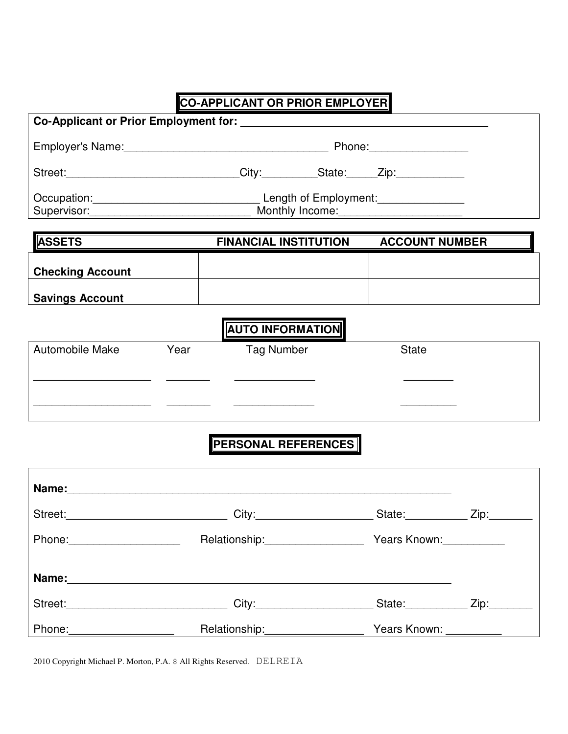# **CO-APPLICANT OR PRIOR EMPLOYER**

|                         |      | Street:______________________________City:___________State:_____Zip:____________                               |  |                       |  |  |  |  |
|-------------------------|------|----------------------------------------------------------------------------------------------------------------|--|-----------------------|--|--|--|--|
|                         |      | Occupation: Committee Discover Length of Employment: Committee Discover Press, Committee Discover Press, Commi |  |                       |  |  |  |  |
|                         |      |                                                                                                                |  |                       |  |  |  |  |
| <b>ASSETS</b>           |      | <b>FINANCIAL INSTITUTION</b>                                                                                   |  | <b>ACCOUNT NUMBER</b> |  |  |  |  |
| <b>Checking Account</b> |      |                                                                                                                |  |                       |  |  |  |  |
| <b>Savings Account</b>  |      |                                                                                                                |  |                       |  |  |  |  |
|                         |      | <b>AUTO INFORMATION</b>                                                                                        |  |                       |  |  |  |  |
| <b>Automobile Make</b>  | Year | Tag Number                                                                                                     |  | <b>State</b>          |  |  |  |  |
|                         |      |                                                                                                                |  |                       |  |  |  |  |
|                         |      |                                                                                                                |  |                       |  |  |  |  |
|                         |      |                                                                                                                |  |                       |  |  |  |  |
|                         |      | <b>PERSONAL REFERENCES</b>                                                                                     |  |                       |  |  |  |  |
|                         |      |                                                                                                                |  |                       |  |  |  |  |

| Name:                       |                                                                                                                 |                                                                                                                                                                                                                                |                                                                                                                                                                                                                                |  |
|-----------------------------|-----------------------------------------------------------------------------------------------------------------|--------------------------------------------------------------------------------------------------------------------------------------------------------------------------------------------------------------------------------|--------------------------------------------------------------------------------------------------------------------------------------------------------------------------------------------------------------------------------|--|
|                             | City:                                                                                                           | State: The State of the State of the State of the State of the State of the State of the State of the State of the State of the State of the State of the State of the State of the State of the State of the State of the Sta | Zip: will be a set of the set of the set of the set of the set of the set of the set of the set of the set of the set of the set of the set of the set of the set of the set of the set of the set of the set of the set of th |  |
| Phone: <u>__________</u>    | Relationship: \\square\\square\\square\\square\\square\\square\\square\\square\\square\\square\\square\\square\ | Years Known:                                                                                                                                                                                                                   |                                                                                                                                                                                                                                |  |
| Name:                       |                                                                                                                 |                                                                                                                                                                                                                                |                                                                                                                                                                                                                                |  |
| Street: <b>Example 2018</b> | City:                                                                                                           | State: State:                                                                                                                                                                                                                  |                                                                                                                                                                                                                                |  |
| Phone:                      | Relationship:                                                                                                   | Years Known: __________                                                                                                                                                                                                        |                                                                                                                                                                                                                                |  |

2010 Copyright Michael P. Morton, P.A. 8 All Rights Reserved. DELREIA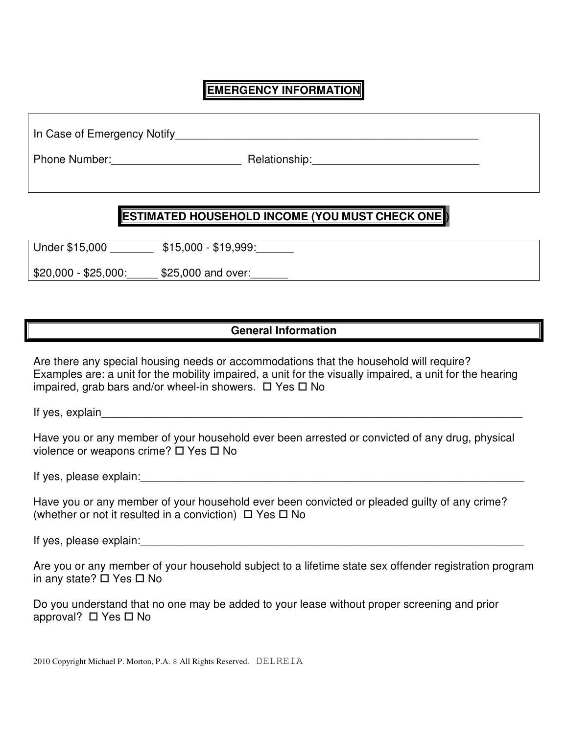#### **EMERGENCY INFORMATION**

In Case of Emergency Notify\_\_\_\_\_\_\_\_\_\_\_\_\_\_\_\_\_\_\_\_\_\_\_\_\_\_\_\_\_\_\_\_\_\_\_\_\_\_\_\_\_\_\_\_\_\_\_\_\_

Phone Number: example and a Relationship:

#### **ESTIMATED HOUSEHOLD INCOME (YOU MUST CHECK ONE )**

Under \$15,000 **\$15,000 - \$19,999:** 

 $$20,000 - $25,000:$   $$25,000$  and over:

#### **General Information**

Are there any special housing needs or accommodations that the household will require? Examples are: a unit for the mobility impaired, a unit for the visually impaired, a unit for the hearing impaired, grab bars and/or wheel-in showers.  $\Box$  Yes  $\Box$  No

If yes, explain

Have you or any member of your household ever been arrested or convicted of any drug, physical violence or weapons crime?  $\Box$  Yes  $\Box$  No

If yes, please explain:\_\_\_\_\_\_\_\_\_\_\_\_\_\_\_\_\_\_\_\_\_\_\_\_\_\_\_\_\_\_\_\_\_\_\_\_\_\_\_\_\_\_\_\_\_\_\_\_\_\_\_\_\_\_\_\_\_\_\_\_\_\_

Have you or any member of your household ever been convicted or pleaded guilty of any crime? (whether or not it resulted in a conviction)  $\Box$  Yes  $\Box$  No

If yes, please explain: The state of the state of the state of the state of the state of the state of the state of the state of the state of the state of the state of the state of the state of the state of the state of the

|  |                                          |  |  |  | Are you or any member of your household subject to a lifetime state sex offender registration program |  |
|--|------------------------------------------|--|--|--|-------------------------------------------------------------------------------------------------------|--|
|  | in any state? $\square$ Yes $\square$ No |  |  |  |                                                                                                       |  |

Do you understand that no one may be added to your lease without proper screening and prior approval?  $\Box$  Yes  $\Box$  No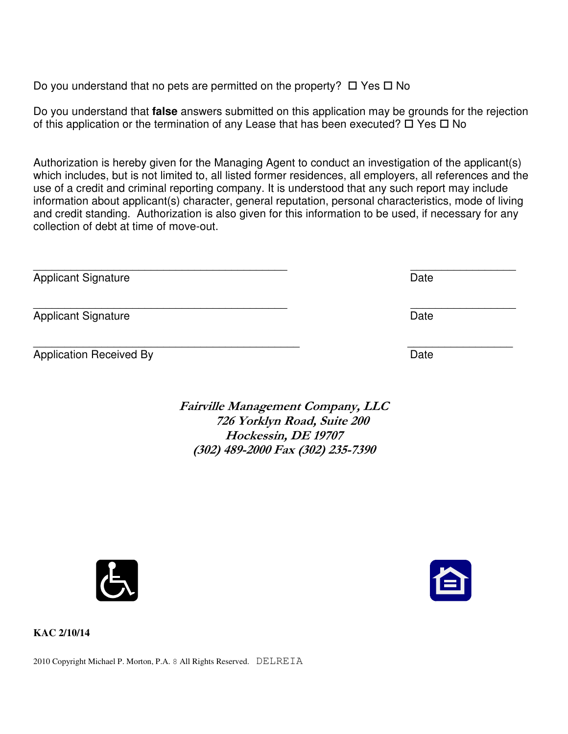Do you understand that no pets are permitted on the property?  $\Box$  Yes  $\Box$  No

Do you understand that **false** answers submitted on this application may be grounds for the rejection of this application or the termination of any Lease that has been executed?  $\Box$  Yes  $\Box$  No

Authorization is hereby given for the Managing Agent to conduct an investigation of the applicant(s) which includes, but is not limited to, all listed former residences, all employers, all references and the use of a credit and criminal reporting company. It is understood that any such report may include information about applicant(s) character, general reputation, personal characteristics, mode of living and credit standing. Authorization is also given for this information to be used, if necessary for any collection of debt at time of move-out.

| Date |
|------|
| Date |
| Date |
|      |

Fairville Management Company, LLC 726 Yorklyn Road, Suite 200 Hockessin, DE 19707 (302) 489-2000 Fax (302) 235-7390





**KAC 2/10/14** 

2010 Copyright Michael P. Morton, P.A. 8 All Rights Reserved. DELREIA